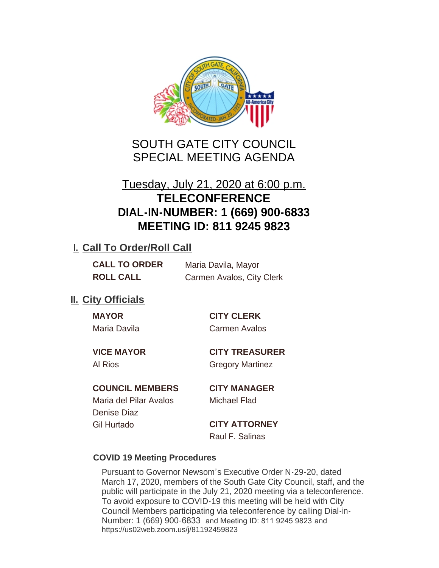

# SOUTH GATE CITY COUNCIL SPECIAL MEETING AGENDA

# Tuesday, July 21, 2020 at 6:00 p.m. **TELECONFERENCE DIAL-IN-NUMBER: 1 (669) 900-6833 MEETING ID: 811 9245 9823**

## **I. Call To Order/Roll Call**

| <b>CALL TO ORDER</b> | Maria Davila, Mayor       |
|----------------------|---------------------------|
| <b>ROLL CALL</b>     | Carmen Avalos, City Clerk |

## **II.** City Officials

| MА | c |  |
|----|---|--|
|    |   |  |

### **MAYOR CITY CLERK**

Maria Davila Carmen Avalos

**VICE MAYOR CITY TREASURER**

Al Rios **Gregory Martinez** 

### **COUNCIL MEMBERS CITY MANAGER**

Maria del Pilar Avalos Michael Flad Denise Diaz Gil Hurtado **CITY ATTORNEY**

Raul F. Salinas

#### **COVID 19 Meeting Procedures**

Pursuant to Governor Newsom's Executive Order N-29-20, dated March 17, 2020, members of the South Gate City Council, staff, and the public will participate in the July 21, 2020 meeting via a teleconference. To avoid exposure to COVID-19 this meeting will be held with City Council Members participating via teleconference by calling Dial-in-Number: 1 (669) 900-6833 and Meeting ID: 811 9245 9823 and https://us02web.zoom.us/j/81192459823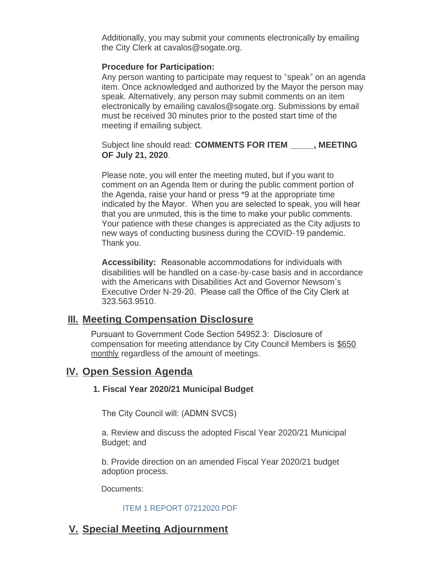Additionally, you may submit your comments electronically by emailing the City Clerk at cavalos@sogate.org.

#### **Procedure for Participation:**

Any person wanting to participate may request to "speak" on an agenda item. Once acknowledged and authorized by the Mayor the person may speak. Alternatively, any person may submit comments on an item electronically by emailing cavalos@sogate.org. Submissions by email must be received 30 minutes prior to the posted start time of the meeting if emailing subject.

Subject line should read: **COMMENTS FOR ITEM \_\_\_\_\_, MEETING OF July 21, 2020**.

Please note, you will enter the meeting muted, but if you want to comment on an Agenda Item or during the public comment portion of the Agenda, raise your hand or press \*9 at the appropriate time indicated by the Mayor. When you are selected to speak, you will hear that you are unmuted, this is the time to make your public comments. Your patience with these changes is appreciated as the City adjusts to new ways of conducting business during the COVID-19 pandemic. Thank you.

**Accessibility:** Reasonable accommodations for individuals with disabilities will be handled on a case-by-case basis and in accordance with the Americans with Disabilities Act and Governor Newsom's Executive Order N-29-20. Please call the Office of the City Clerk at 323.563.9510.

#### **Meeting Compensation Disclosure III.**

Pursuant to Government Code Section 54952.3: Disclosure of compensation for meeting attendance by City Council Members is \$650 monthly regardless of the amount of meetings.

### **IV.** Open Session Agenda

#### **1. Fiscal Year 2020/21 Municipal Budget**

The City Council will: (ADMN SVCS)

a. Review and discuss the adopted Fiscal Year 2020/21 Municipal Budget; and

b. Provide direction on an amended Fiscal Year 2020/21 budget adoption process.

Documents:

#### [ITEM 1 REPORT 07212020.PDF](http://www.cityofsouthgate.org/AgendaCenter/ViewFile/Item/9122?fileID=26287)

## **Special Meeting Adjournment V.**